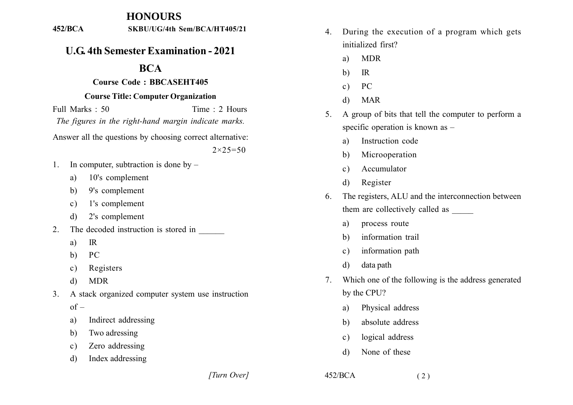## **HONOURS**

#### $452/BCA$ SKBU/UG/4th Sem/BCA/HT405/21

# **U.G. 4th Semester Examination - 2021**

## **BCA**

### Course Code: BBCASEHT405

### **Course Title: Computer Organization**

Full Marks  $\cdot$  50 Time  $\cdot$  2 Hours The figures in the right-hand margin indicate marks. Answer all the questions by choosing correct alternative:  $2 \times 25 = 50$ 

- In computer, subtraction is done by  $1$ 
	- 10's complement a)
	- 9's complement  $\mathbf{b}$
	- 1's complement  $\mathbf{c}$ )
	- 2's complement  $\mathbf{d}$
- The decoded instruction is stored in  $2_{-}$ 
	- $IR$  $a)$
	- PC  $b)$
	- Registers  $\mathbf{c}$ )
	- $\mathbf{d}$ **MDR**
- A stack organized computer system use instruction  $3<sub>1</sub>$  $of –$ 
	- Indirect addressing a)
	- Two adressing b)
	- Zero addressing  $\mathbf{c}$ )
	- Index addressing  $\mathbf{d}$
- During the execution of a program which gets  $4.$ initialized first?
	- **MDR** a)
	- $IR$ b)
	- PC  $c)$
	- **MAR**  $\mathbf{d}$
- A group of bits that tell the computer to perform a  $5<sup>7</sup>$ specific operation is known as  $-$ 
	- Instruction code a)
	- Microoperation  $b)$
	- Accumulator  $c)$
	- Register d)
- The registers, ALU and the interconnection between 6 them are collectively called as
	- process route a)
	- information trail  $h)$
	- information path  $c)$
	- data path  $\mathbf{d}$
- Which one of the following is the address generated  $7<sub>1</sub>$ by the CPU?
	- Physical address a)
	- absolute address  $h)$
	- logical address  $c)$
	- None of these d)

 $452/BCA$ 

[Turn Over]

 $(2)$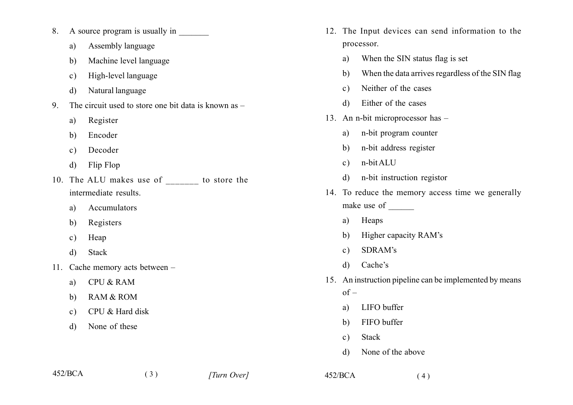- A source program is usually in 8.
	- Assembly language a)
	- Machine level language b)
	- High-level language  $c)$
	- Natural language d)
- The circuit used to store one bit data is known as  $\mathbf{Q}$ 
	- Register a)
	- Encoder b)
	- Decoder  $\mathbf{c}$ )
	- Flip Flop d)
- 10. The ALU makes use of to store the intermediate results.

 $(3)$ 

- Accumulators a)
- Registers b)
- Heap  $\mathbf{c}$ )
- Stack  $\mathbf{d}$
- 11. Cache memory acts between -
	- **CPU & RAM** a)
	- **RAM & ROM** b)
	- CPU & Hard disk  $c)$
	- None of these  $\mathbf{d}$
- 12. The Input devices can send information to the processor.
	- When the SIN status flag is set  $a)$
	- When the data arrives regardless of the SIN flag  $h)$
	- Neither of the cases  $c)$
	- Either of the cases  $\mathbf{d}$
- 13. An n-bit microprocessor has
	- n-bit program counter a)
	- n-bit address register  $b)$
	- n-bit ALU  $c)$
	- n-bit instruction registor  $d)$
- 14. To reduce the memory access time we generally make use of
	- Heaps a)
	- Higher capacity RAM's b)
	- SDRAM's  $c)$
	- Cache's  $\mathbf{d}$
- 15. An instruction pipeline can be implemented by means  $of –$

 $(4)$ 

- LIFO buffer a)
- FIFO buffer b)
- **Stack**  $c)$
- None of the above  $\mathbf{d}$

 $452/BCA$ 

 $452/BCA$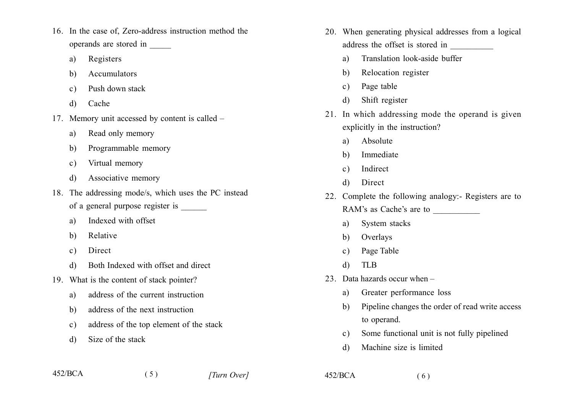- 16. In the case of, Zero-address instruction method the operands are stored in
	- Registers a)
	- Accumulators b)
	- Push down stack  $\mathbf{c}$ )
	- Cache  $\mathbf{d}$
- 17. Memory unit accessed by content is called
	- Read only memory a)
	- Programmable memory b)
	- Virtual memory  $c)$
	- Associative memory d)
- 18. The addressing mode/s, which uses the PC instead of a general purpose register is \_\_\_\_\_\_
	- Indexed with offset a)
	- Relative b)
	- $c)$ Direct
	- Both Indexed with offset and direct d)
- 19. What is the content of stack pointer?
	- address of the current instruction a)
	- address of the next instruction  $h$
	- address of the top element of the stack  $\mathbf{c}$ )

 $(5)$ 

Size of the stack d)

- 20. When generating physical addresses from a logical address the offset is stored in
	- Translation look-aside buffer  $a)$
	- Relocation register b)
	- Page table  $c)$
	- Shift register d)
- 21. In which addressing mode the operand is given explicitly in the instruction?
	- Absolute a)
	- Immediate b)
	- Indirect  $c)$
	- Direct  $\mathcal{L}$
- 22. Complete the following analogy:- Registers are to
	- RAM's as Cache's are to
		- System stacks a)
		- Overlays  $b)$
		- Page Table  $c)$
	- **TLB**  $\mathbf{d}$

 $452/BCA$ 

- 23. Data hazards occur when
	- Greater performance loss a)
	- Pipeline changes the order of read write access  $h$ to operand.
	- Some functional unit is not fully pipelined  $c)$
	- Machine size is limited d)